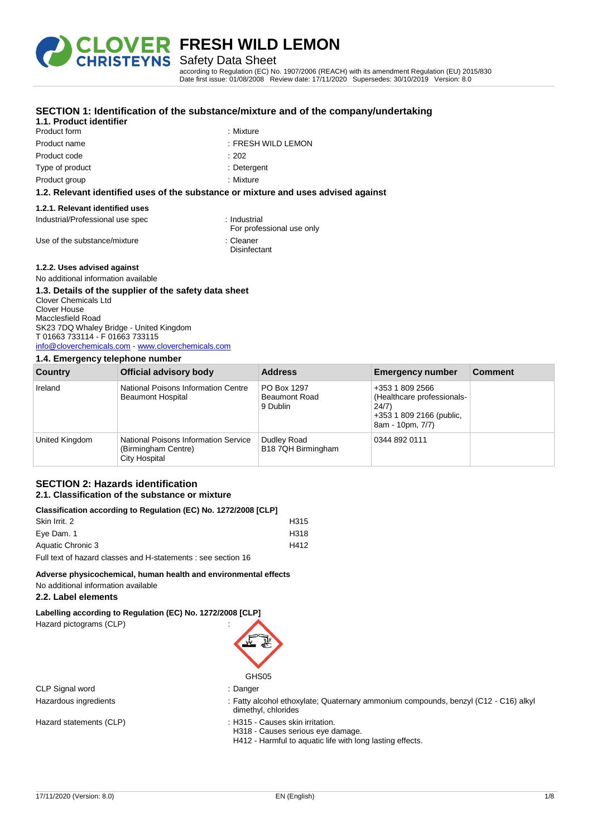

**Disinfectant** 

Safety Data Sheet

according to Regulation (EC) No. 1907/2006 (REACH) with its amendment Regulation (EU) 2015/830 Date first issue: 01/08/2008 Review date: 17/11/2020 Supersedes: 30/10/2019 Version: 8.0

| 1.1. Product identifier          | <u>ULUTION T. IUCHIIIILAIIUII ULIIIC SUDSIAHLE/IIIIAIUI C AHU ULIIIC LUIIIPAITY/UL</u> |
|----------------------------------|----------------------------------------------------------------------------------------|
| Product form                     | : Mixture                                                                              |
| Product name                     | : FRESH WILD LEMON                                                                     |
| Product code                     | :202                                                                                   |
| Type of product                  | : Detergent                                                                            |
| Product group                    | : Mixture                                                                              |
|                                  | 1.2. Relevant identified uses of the substance or mixture and uses advised against     |
| 1.2.1. Relevant identified uses  |                                                                                        |
| Industrial/Professional use spec | : Industrial<br>For professional use only                                              |
| Use of the substance/mixture     | : Cleaner                                                                              |

## **SECTION 1: Identification of the substance/mixture and of the company/undertaking**

#### **1.2.2. Uses advised against**

No additional information available

### **1.3. Details of the supplier of the safety data sheet**

Clover Chemicals Ltd Clover House Macclesfield Road SK23 7DQ Whaley Bridge - United Kingdom T 01663 733114 - F 01663 733115 [info@cloverchemicals.com](mailto:info@cloverchemicals.com) - <www.cloverchemicals.com>

### **1.4. Emergency telephone number**

| Country        | Official advisory body                                                              | <b>Address</b>                                  | <b>Emergency number</b>                                                                                | <b>Comment</b> |
|----------------|-------------------------------------------------------------------------------------|-------------------------------------------------|--------------------------------------------------------------------------------------------------------|----------------|
| Ireland        | National Poisons Information Centre<br><b>Beaumont Hospital</b>                     | PO Box 1297<br><b>Beaumont Road</b><br>9 Dublin | +353 1 809 2566<br>(Healthcare professionals-<br>24/7)<br>+353 1 809 2166 (public,<br>8am - 10pm, 7/7) |                |
| United Kingdom | <b>National Poisons Information Service</b><br>(Birmingham Centre)<br>City Hospital | Dudley Road<br>B18 7QH Birmingham               | 0344 892 0111                                                                                          |                |

#### **SECTION 2: Hazards identification 2.1. Classification of the substance or mixture**

## **Classification according to Regulation (EC) No. 1272/2008 [CLP]**

| 0100011100110111000101119 to hogeration (LO) No. 121212000 [OLI ] |      |
|-------------------------------------------------------------------|------|
| Skin Irrit, 2                                                     | H315 |
| Eve Dam. 1                                                        | H318 |
| Aquatic Chronic 3                                                 | H412 |
| Full text of hazard classes and H-statements : see section 16     |      |

### **Adverse physicochemical, human health and environmental effects**

No additional information available

### **2.2. Label elements**

**Labelling according to Regulation (EC) No. 1272/2008 [CLP]**

Hazard pictograms (CLP) :



CLP Signal word : Danger

- Hazardous ingredients : Fatty alcohol ethoxylate; Quaternary ammonium compounds, benzyl (C12 C16) alkyl dimethyl, chlorides
- Hazard statements (CLP) : H315 Causes skin irritation.
	- H318 Causes serious eye damage.
	- H412 Harmful to aquatic life with long lasting effects.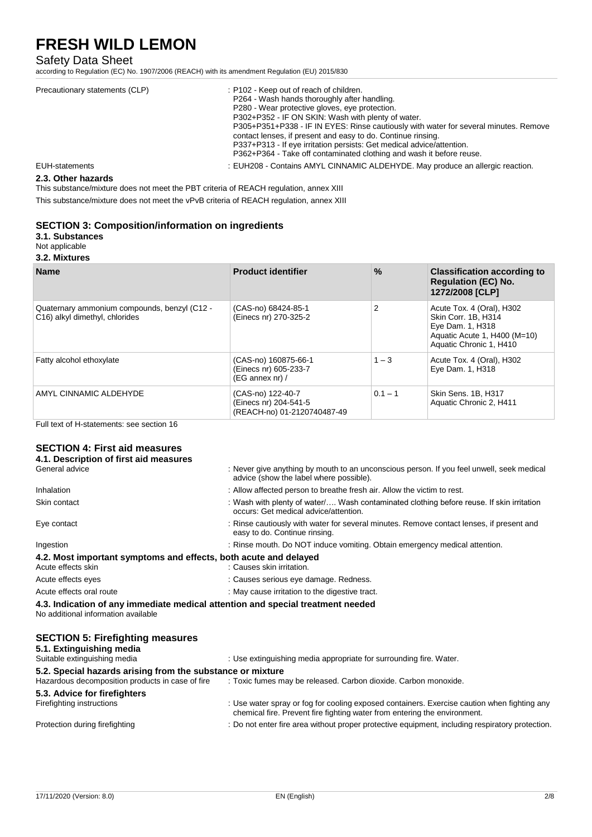### Safety Data Sheet

according to Regulation (EC) No. 1907/2006 (REACH) with its amendment Regulation (EU) 2015/830

| Precautionary statements (CLP) | : P102 - Keep out of reach of children.<br>P264 - Wash hands thoroughly after handling.<br>P280 - Wear protective gloves, eye protection.<br>P302+P352 - IF ON SKIN: Wash with plenty of water.<br>P305+P351+P338 - IF IN EYES: Rinse cautiously with water for several minutes. Remove<br>contact lenses, if present and easy to do. Continue rinsing.<br>P337+P313 - If eye irritation persists: Get medical advice/attention.<br>P362+P364 - Take off contaminated clothing and wash it before reuse. |
|--------------------------------|----------------------------------------------------------------------------------------------------------------------------------------------------------------------------------------------------------------------------------------------------------------------------------------------------------------------------------------------------------------------------------------------------------------------------------------------------------------------------------------------------------|
| <b>EUH-statements</b>          | : EUH208 - Contains AMYL CINNAMIC ALDEHYDE. May produce an allergic reaction.                                                                                                                                                                                                                                                                                                                                                                                                                            |

### **2.3. Other hazards**

This substance/mixture does not meet the PBT criteria of REACH regulation, annex XIII

This substance/mixture does not meet the vPvB criteria of REACH regulation, annex XIII

### **SECTION 3: Composition/information on ingredients**

### **3.1. Substances**

Not applicable **3.2. Mixtures**

| <b>Name</b>                                                                    | <b>Product identifier</b>                                                 | $\%$      | <b>Classification according to</b><br><b>Regulation (EC) No.</b><br>1272/2008 [CLP]                                             |
|--------------------------------------------------------------------------------|---------------------------------------------------------------------------|-----------|---------------------------------------------------------------------------------------------------------------------------------|
| Quaternary ammonium compounds, benzyl (C12 -<br>C16) alkyl dimethyl, chlorides | (CAS-no) 68424-85-1<br>(Einecs nr) 270-325-2                              | 2         | Acute Tox. 4 (Oral), H302<br>Skin Corr. 1B. H314<br>Eye Dam. 1, H318<br>Aquatic Acute 1, H400 (M=10)<br>Aquatic Chronic 1, H410 |
| Fatty alcohol ethoxylate                                                       | (CAS-no) 160875-66-1<br>(Einecs nr) 605-233-7<br>$(EG$ annex nr) /        | $1 - 3$   | Acute Tox. 4 (Oral), H302<br>Eye Dam. 1, H318                                                                                   |
| AMYL CINNAMIC ALDEHYDE                                                         | (CAS-no) 122-40-7<br>(Einecs nr) 204-541-5<br>(REACH-no) 01-2120740487-49 | $0.1 - 1$ | Skin Sens. 1B, H317<br>Aquatic Chronic 2, H411                                                                                  |

Full text of H-statements: see section 16

## **SECTION 4: First aid measures**

| 4.1. Description of first aid measures                                                                                 |                                                                                                                                      |
|------------------------------------------------------------------------------------------------------------------------|--------------------------------------------------------------------------------------------------------------------------------------|
| General advice                                                                                                         | : Never give anything by mouth to an unconscious person. If you feel unwell, seek medical<br>advice (show the label where possible). |
| Inhalation                                                                                                             | : Allow affected person to breathe fresh air. Allow the victim to rest.                                                              |
| Skin contact                                                                                                           | : Wash with plenty of water/ Wash contaminated clothing before reuse. If skin irritation<br>occurs: Get medical advice/attention.    |
| Eye contact                                                                                                            | : Rinse cautiously with water for several minutes. Remove contact lenses, if present and<br>easy to do. Continue rinsing.            |
| Ingestion                                                                                                              | : Rinse mouth. Do NOT induce vomiting. Obtain emergency medical attention.                                                           |
| 4.2. Most important symptoms and effects, both acute and delayed                                                       |                                                                                                                                      |
| Acute effects skin                                                                                                     | : Causes skin irritation.                                                                                                            |
| Acute effects eyes                                                                                                     | : Causes serious eye damage. Redness.                                                                                                |
| Acute effects oral route                                                                                               | : May cause irritation to the digestive tract.                                                                                       |
| 4.3. Indication of any immediate medical attention and special treatment needed<br>No additional information available |                                                                                                                                      |
| <b>SECTION 5: Firefighting measures</b>                                                                                |                                                                                                                                      |

| 5.1. Extinguishing media<br>Suitable extinguishing media   | : Use extinguishing media appropriate for surrounding fire. Water.                                                                                                       |
|------------------------------------------------------------|--------------------------------------------------------------------------------------------------------------------------------------------------------------------------|
| 5.2. Special hazards arising from the substance or mixture |                                                                                                                                                                          |
| Hazardous decomposition products in case of fire           | : Toxic fumes may be released. Carbon dioxide. Carbon monoxide.                                                                                                          |
| 5.3. Advice for firefighters                               |                                                                                                                                                                          |
| Firefighting instructions                                  | : Use water spray or fog for cooling exposed containers. Exercise caution when fighting any<br>chemical fire. Prevent fire fighting water from entering the environment. |
| Protection during firefighting                             | : Do not enter fire area without proper protective equipment, including respiratory protection.                                                                          |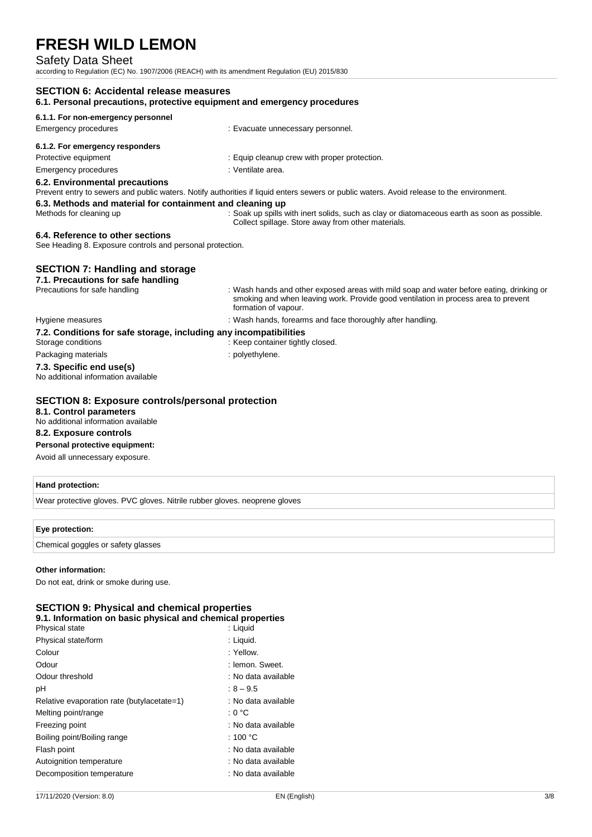### Safety Data Sheet

according to Regulation (EC) No. 1907/2006 (REACH) with its amendment Regulation (EU) 2015/830

| <b>SECTION 6: Accidental release measures</b><br>6.1. Personal precautions, protective equipment and emergency procedures |                                                                                                                                                                                                        |  |
|---------------------------------------------------------------------------------------------------------------------------|--------------------------------------------------------------------------------------------------------------------------------------------------------------------------------------------------------|--|
| 6.1.1. For non-emergency personnel                                                                                        |                                                                                                                                                                                                        |  |
| <b>Emergency procedures</b>                                                                                               | : Evacuate unnecessary personnel.                                                                                                                                                                      |  |
| 6.1.2. For emergency responders                                                                                           |                                                                                                                                                                                                        |  |
| Protective equipment                                                                                                      | : Equip cleanup crew with proper protection.                                                                                                                                                           |  |
| Emergency procedures                                                                                                      | : Ventilate area.                                                                                                                                                                                      |  |
| 6.2. Environmental precautions                                                                                            | Prevent entry to sewers and public waters. Notify authorities if liquid enters sewers or public waters. Avoid release to the environment.                                                              |  |
| 6.3. Methods and material for containment and cleaning up                                                                 |                                                                                                                                                                                                        |  |
| Methods for cleaning up                                                                                                   | : Soak up spills with inert solids, such as clay or diatomaceous earth as soon as possible.<br>Collect spillage. Store away from other materials.                                                      |  |
| 6.4. Reference to other sections<br>See Heading 8. Exposure controls and personal protection.                             |                                                                                                                                                                                                        |  |
| <b>SECTION 7: Handling and storage</b><br>7.1. Precautions for safe handling                                              |                                                                                                                                                                                                        |  |
| Precautions for safe handling                                                                                             | : Wash hands and other exposed areas with mild soap and water before eating, drinking or<br>smoking and when leaving work. Provide good ventilation in process area to prevent<br>formation of vapour. |  |
| Hygiene measures                                                                                                          | : Wash hands, forearms and face thoroughly after handling.                                                                                                                                             |  |
| 7.2. Conditions for safe storage, including any incompatibilities<br>Storage conditions                                   | : Keep container tightly closed.                                                                                                                                                                       |  |
| Packaging materials                                                                                                       | : polyethylene.                                                                                                                                                                                        |  |
| 7.3. Specific end use(s)<br>No additional information available                                                           |                                                                                                                                                                                                        |  |
| <b>SECTION 8: Exposure controls/personal protection</b>                                                                   |                                                                                                                                                                                                        |  |
| 8.1. Control parameters<br>No additional information available                                                            |                                                                                                                                                                                                        |  |
| 8.2. Exposure controls                                                                                                    |                                                                                                                                                                                                        |  |
| Personal protective equipment:                                                                                            |                                                                                                                                                                                                        |  |
| Avoid all unnecessary exposure.                                                                                           |                                                                                                                                                                                                        |  |

### **Hand protection:**

Wear protective gloves. PVC gloves. Nitrile rubber gloves. neoprene gloves

### **Eye protection:**

Chemical goggles or safety glasses

### **Other information:**

Do not eat, drink or smoke during use.

| <b>SECTION 9: Physical and chemical properties</b><br>9.1. Information on basic physical and chemical properties |                     |  |
|------------------------------------------------------------------------------------------------------------------|---------------------|--|
| Physical state                                                                                                   | : Liquid            |  |
| Physical state/form                                                                                              | : Liquid.           |  |
| Colour                                                                                                           | : Yellow.           |  |
| Odour                                                                                                            | : Iemon. Sweet.     |  |
| Odour threshold                                                                                                  | : No data available |  |
| рH                                                                                                               | $:8 - 9.5$          |  |
| Relative evaporation rate (butylacetate=1)                                                                       | : No data available |  |
| Melting point/range                                                                                              | : 0 °C              |  |
| Freezing point                                                                                                   | : No data available |  |
| Boiling point/Boiling range                                                                                      | : 100 $^{\circ}$ C  |  |
| Flash point                                                                                                      | : No data available |  |
| Autoignition temperature                                                                                         | : No data available |  |
| Decomposition temperature                                                                                        | : No data available |  |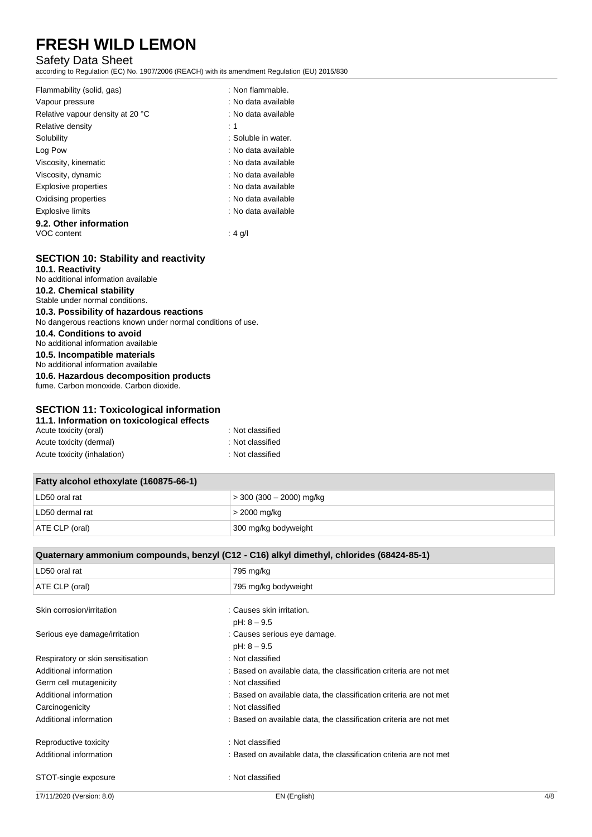### Safety Data Sheet

according to Regulation (EC) No. 1907/2006 (REACH) with its amendment Regulation (EU) 2015/830

| Flammability (solid, gas)<br>Vapour pressure | ∶ Non flammable.<br>: No data available |
|----------------------------------------------|-----------------------------------------|
| Relative vapour density at 20 °C             | : No data available                     |
| Relative density                             | :1                                      |
| Solubility                                   | : Soluble in water.                     |
| Log Pow                                      | : No data available                     |
| Viscosity, kinematic                         | : No data available                     |
| Viscosity, dynamic                           | : No data available                     |
| <b>Explosive properties</b>                  | : No data available                     |
| Oxidising properties                         | : No data available                     |
| Explosive limits                             | : No data available                     |
| 9.2. Other information                       |                                         |
| VOC content                                  | : 4 g/l                                 |

### **SECTION 10: Stability and reactivity**

**10.1. Reactivity** No additional information available **10.2. Chemical stability**

Stable under normal conditions.

### **10.3. Possibility of hazardous reactions**

No dangerous reactions known under normal conditions of use.

**10.4. Conditions to avoid**

No additional information available

**10.5. Incompatible materials**

No additional information available

**10.6. Hazardous decomposition products** fume. Carbon monoxide. Carbon dioxide.

### **SECTION 11: Toxicological information**

| 11.1. Information on toxicological effects |                  |  |
|--------------------------------------------|------------------|--|
| Acute toxicity (oral)                      | : Not classified |  |
| Acute toxicity (dermal)                    | : Not classified |  |
| Acute toxicity (inhalation)                | : Not classified |  |

| Fatty alcohol ethoxylate (160875-66-1) |                          |
|----------------------------------------|--------------------------|
| LD50 oral rat                          | > 300 (300 – 2000) mg/kg |
| LD50 dermal rat                        | > 2000 mg/kg             |
| ATE CLP (oral)                         | 300 mg/kg bodyweight     |

| Quaternary ammonium compounds, benzyl (C12 - C16) alkyl dimethyl, chlorides (68424-85-1) |                                                                    |     |
|------------------------------------------------------------------------------------------|--------------------------------------------------------------------|-----|
| LD50 oral rat                                                                            | 795 mg/kg                                                          |     |
| ATE CLP (oral)                                                                           | 795 mg/kg bodyweight                                               |     |
| Skin corrosion/irritation                                                                | : Causes skin irritation.                                          |     |
|                                                                                          | $pH: 8 - 9.5$                                                      |     |
| Serious eye damage/irritation                                                            | : Causes serious eye damage.                                       |     |
|                                                                                          | $pH: 8 - 9.5$                                                      |     |
| Respiratory or skin sensitisation                                                        | : Not classified                                                   |     |
| Additional information                                                                   | : Based on available data, the classification criteria are not met |     |
| Germ cell mutagenicity                                                                   | : Not classified                                                   |     |
| Additional information                                                                   | : Based on available data, the classification criteria are not met |     |
| Carcinogenicity                                                                          | : Not classified                                                   |     |
| Additional information                                                                   | : Based on available data, the classification criteria are not met |     |
| Reproductive toxicity                                                                    | : Not classified                                                   |     |
| Additional information                                                                   | : Based on available data, the classification criteria are not met |     |
| STOT-single exposure                                                                     | : Not classified                                                   |     |
| 17/11/2020 (Version: 8.0)                                                                | EN (English)                                                       | 4/8 |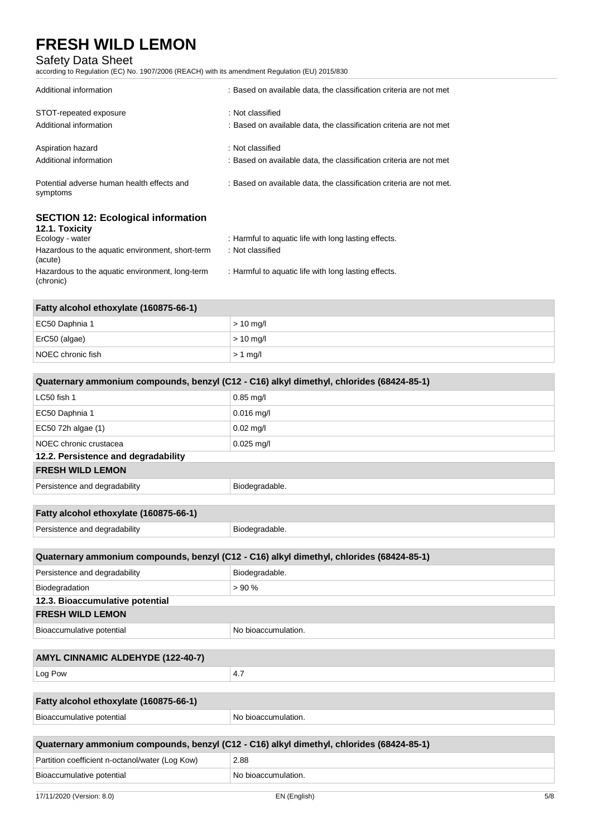### Safety Data Sheet

according to Regulation (EC) No. 1907/2006 (REACH) with its amendment Regulation (EU) 2015/830

| Additional information                                                         | : Based on available data, the classification criteria are not met                     |
|--------------------------------------------------------------------------------|----------------------------------------------------------------------------------------|
| STOT-repeated exposure<br>Additional information                               | : Not classified<br>: Based on available data, the classification criteria are not met |
| Aspiration hazard<br>Additional information                                    | : Not classified<br>: Based on available data, the classification criteria are not met |
| Potential adverse human health effects and<br>symptoms                         | : Based on available data, the classification criteria are not met.                    |
| <b>SECTION 12: Ecological information</b><br>12.1. Toxicity<br>Ecology - water | : Harmful to aquatic life with long lasting effects.                                   |

| ECOIOUV - WALCH                                              | . Hallillul to aquatic life with |
|--------------------------------------------------------------|----------------------------------|
| Hazardous to the aquatic environment, short-term<br>(acute)  | : Not classified                 |
| Hazardous to the aquatic environment, long-term<br>(chronic) | : Harmful to aquatic life with   |

| Fatty alcohol ethoxylate (160875-66-1) |             |
|----------------------------------------|-------------|
| EC50 Daphnia 1                         | $> 10$ mg/l |
| ErC50 (algae)                          | $> 10$ mg/l |
| NOEC chronic fish                      | $> 1$ mg/l  |

long lasting effects.

| Quaternary ammonium compounds, benzyl (C12 - C16) alkyl dimethyl, chlorides (68424-85-1) |                                                                                          |  |
|------------------------------------------------------------------------------------------|------------------------------------------------------------------------------------------|--|
| LC50 fish 1                                                                              | $0.85$ mg/l                                                                              |  |
| EC50 Daphnia 1                                                                           | $0.016$ mg/l                                                                             |  |
| EC50 72h algae (1)                                                                       | $0.02$ mg/l                                                                              |  |
| NOEC chronic crustacea                                                                   | $0.025$ mg/l                                                                             |  |
| 12.2. Persistence and degradability                                                      |                                                                                          |  |
| <b>FRESH WILD LEMON</b>                                                                  |                                                                                          |  |
| Persistence and degradability                                                            | Biodegradable.                                                                           |  |
|                                                                                          |                                                                                          |  |
| Fatty alcohol ethoxylate (160875-66-1)                                                   |                                                                                          |  |
| Persistence and degradability                                                            | Biodegradable.                                                                           |  |
|                                                                                          |                                                                                          |  |
|                                                                                          | Quaternary ammonium compounds, benzyl (C12 - C16) alkyl dimethyl, chlorides (68424-85-1) |  |
| Persistence and degradability                                                            | Biodegradable.                                                                           |  |
| Biodegradation                                                                           | > 90%                                                                                    |  |
| 12.3. Bioaccumulative potential                                                          |                                                                                          |  |
| <b>FRESH WILD LEMON</b>                                                                  |                                                                                          |  |
| Bioaccumulative potential                                                                | No bioaccumulation.                                                                      |  |
|                                                                                          |                                                                                          |  |
| AMYL CINNAMIC ALDEHYDE (122-40-7)                                                        |                                                                                          |  |
| Log Pow                                                                                  | 4.7                                                                                      |  |
|                                                                                          |                                                                                          |  |
| Fatty alcohol ethoxylate (160875-66-1)                                                   |                                                                                          |  |
| Bioaccumulative potential                                                                | No bioaccumulation.                                                                      |  |
|                                                                                          |                                                                                          |  |
|                                                                                          | Quaternary ammonium compounds, benzyl (C12 - C16) alkyl dimethyl, chlorides (68424-85-1) |  |
| Partition coefficient n-octanol/water (Log Kow)                                          | 2.88                                                                                     |  |
| Bioaccumulative potential                                                                | No bioaccumulation.                                                                      |  |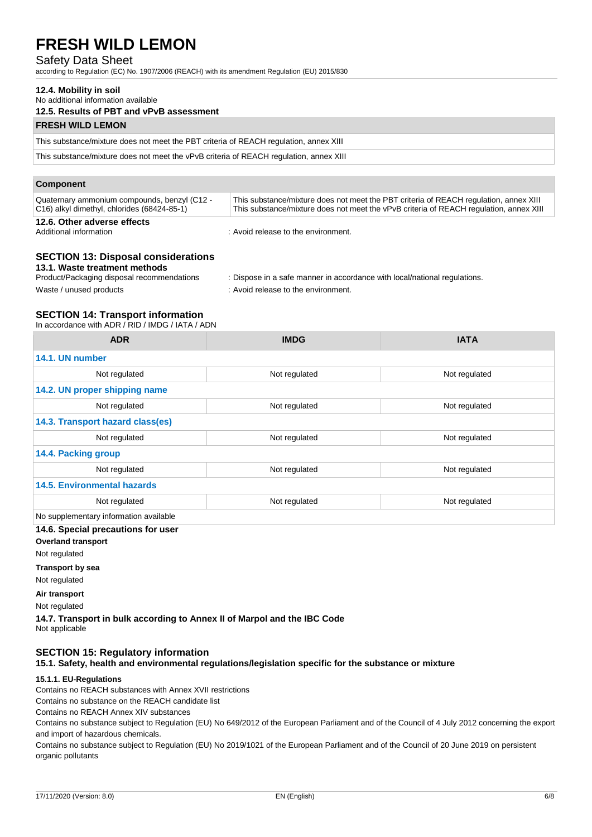### Safety Data Sheet

according to Regulation (EC) No. 1907/2006 (REACH) with its amendment Regulation (EU) 2015/830

### **12.4. Mobility in soil**

No additional information available

### **12.5. Results of PBT and vPvB assessment**

### **FRESH WILD LEMON**

This substance/mixture does not meet the PBT criteria of REACH regulation, annex XIII

This substance/mixture does not meet the vPvB criteria of REACH regulation, annex XIII

| <b>Component</b>                                                                            |                                                                                                                                                                                 |  |
|---------------------------------------------------------------------------------------------|---------------------------------------------------------------------------------------------------------------------------------------------------------------------------------|--|
| Quaternary ammonium compounds, benzyl (C12 -<br>C16) alkyl dimethyl, chlorides (68424-85-1) | This substance/mixture does not meet the PBT criteria of REACH regulation, annex XIII<br>This substance/mixture does not meet the vPvB criteria of REACH regulation, annex XIII |  |
| 12.6. Other adverse effects<br>Additional information                                       | : Avoid release to the environment.                                                                                                                                             |  |

### **SECTION 13: Disposal considerations**

#### **13.1. Waste treatment methods**

| Product/Packaging disposal recommendations | : Dispose in a safe manner in accordance with local/national regulations. |
|--------------------------------------------|---------------------------------------------------------------------------|
| Waste / unused products                    | : Avoid release to the environment.                                       |

### **SECTION 14: Transport information**

In accordance with ADR / RID / IMDG / IATA / ADN

| <b>ADR</b>                             | <b>IMDG</b>   | <b>IATA</b>   |
|----------------------------------------|---------------|---------------|
| 14.1. UN number                        |               |               |
| Not regulated                          | Not regulated | Not regulated |
| 14.2. UN proper shipping name          |               |               |
| Not regulated                          | Not regulated | Not regulated |
| 14.3. Transport hazard class(es)       |               |               |
| Not regulated                          | Not regulated | Not regulated |
| 14.4. Packing group                    |               |               |
| Not regulated                          | Not regulated | Not regulated |
| <b>14.5. Environmental hazards</b>     |               |               |
| Not regulated                          | Not regulated | Not regulated |
| No supplementary information available |               |               |

#### **14.6. Special precautions for user**

**Overland transport**

Not regulated

#### **Transport by sea**

Not regulated

**Air transport**

Not regulated

**14.7. Transport in bulk according to Annex II of Marpol and the IBC Code** Not applicable

### **SECTION 15: Regulatory information**

**15.1. Safety, health and environmental regulations/legislation specific for the substance or mixture**

### **15.1.1. EU-Regulations**

Contains no REACH substances with Annex XVII restrictions

Contains no substance on the REACH candidate list

Contains no REACH Annex XIV substances

Contains no substance subject to Regulation (EU) No 649/2012 of the European Parliament and of the Council of 4 July 2012 concerning the export and import of hazardous chemicals.

Contains no substance subject to Regulation (EU) No 2019/1021 of the European Parliament and of the Council of 20 June 2019 on persistent organic pollutants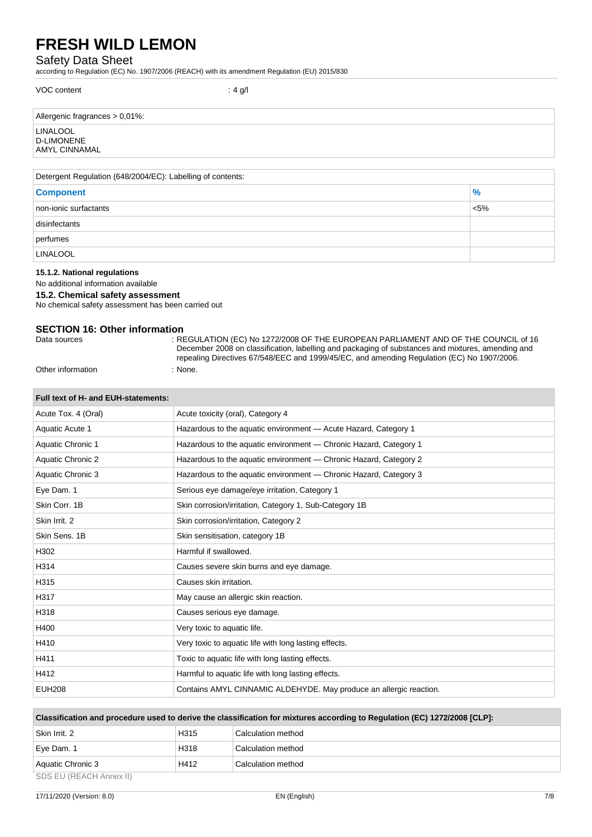## Safety Data Sheet

according to Regulation (EC) No. 1907/2006 (REACH) with its amendment Regulation (EU) 2015/830

| VOC content                                           | : 4 g/l |
|-------------------------------------------------------|---------|
| Allergenic fragrances > 0,01%:                        |         |
| <b>LINALOOL</b><br><b>D-LIMONENE</b><br>AMYL CINNAMAL |         |
|                                                       |         |

| Detergent Regulation (648/2004/EC): Labelling of contents: |         |  |
|------------------------------------------------------------|---------|--|
| <b>Component</b>                                           | $\%$    |  |
| non-ionic surfactants                                      | $< 5\%$ |  |
| disinfectants                                              |         |  |
| perfumes                                                   |         |  |
| <b>LINALOOL</b>                                            |         |  |

### **15.1.2. National regulations**

No additional information available

#### **15.2. Chemical safety assessment**

No chemical safety assessment has been carried out

## **SECTION 16: Other information**

| Pulu ovurvoo |  |
|--------------|--|
|              |  |
|              |  |
|              |  |
|              |  |
|              |  |

: REGULATION (EC) No 1272/2008 OF THE EUROPEAN PARLIAMENT AND OF THE COUNCIL of 16 December 2008 on classification, labelling and packaging of substances and mixtures, amending and repealing Directives 67/548/EEC and 1999/45/EC, and amending Regulation (EC) No 1907/2006. Other information : None.

| Full text of H- and EUH-statements: |                                                                    |
|-------------------------------------|--------------------------------------------------------------------|
| Acute Tox. 4 (Oral)                 | Acute toxicity (oral), Category 4                                  |
| Aquatic Acute 1                     | Hazardous to the aquatic environment - Acute Hazard, Category 1    |
| Aquatic Chronic 1                   | Hazardous to the aquatic environment — Chronic Hazard, Category 1  |
| <b>Aquatic Chronic 2</b>            | Hazardous to the aquatic environment — Chronic Hazard, Category 2  |
| Aquatic Chronic 3                   | Hazardous to the aquatic environment - Chronic Hazard, Category 3  |
| Eye Dam. 1                          | Serious eye damage/eye irritation, Category 1                      |
| Skin Corr. 1B                       | Skin corrosion/irritation, Category 1, Sub-Category 1B             |
| Skin Irrit, 2                       | Skin corrosion/irritation, Category 2                              |
| Skin Sens, 1B                       | Skin sensitisation, category 1B                                    |
| H302                                | Harmful if swallowed.                                              |
| H314                                | Causes severe skin burns and eye damage.                           |
| H315                                | Causes skin irritation.                                            |
| H317                                | May cause an allergic skin reaction.                               |
| H318                                | Causes serious eye damage.                                         |
| H400                                | Very toxic to aquatic life.                                        |
| H410                                | Very toxic to aquatic life with long lasting effects.              |
| H411                                | Toxic to aquatic life with long lasting effects.                   |
| H412                                | Harmful to aquatic life with long lasting effects.                 |
| <b>EUH208</b>                       | Contains AMYL CINNAMIC ALDEHYDE. May produce an allergic reaction. |

| Classification and procedure used to derive the classification for mixtures according to Regulation (EC) 1272/2008 [CLP]: |                  |                    |
|---------------------------------------------------------------------------------------------------------------------------|------------------|--------------------|
| Skin Irrit, 2                                                                                                             | H <sub>315</sub> | Calculation method |
| Eye Dam. 1                                                                                                                | H318             | Calculation method |
| Aquatic Chronic 3                                                                                                         | H412             | Calculation method |
| SDS FIJ (REACH Annex II)                                                                                                  |                  |                    |

SDS EU (REACH Annex II)